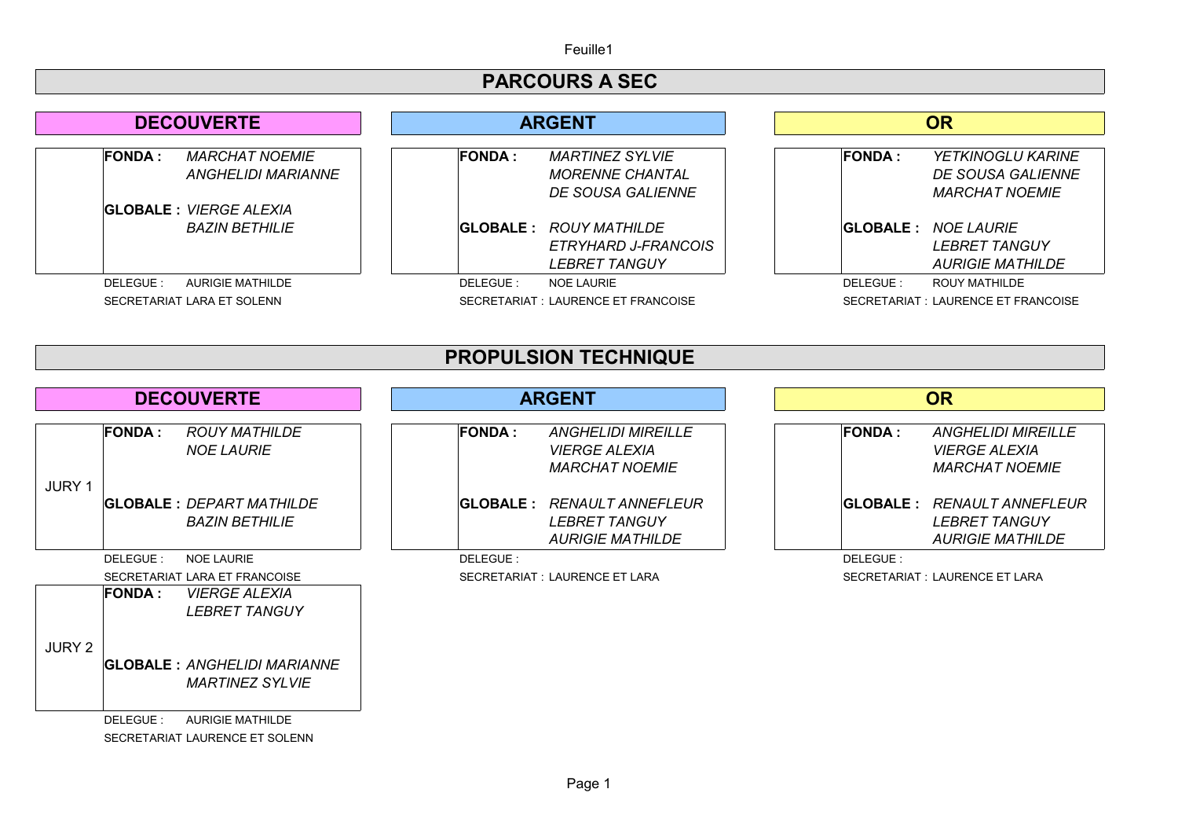Feuille1

## **PARCOURS A SEC**

| <b>DECOUVERTE</b>                                                    | <b>ARGENT</b>                                                                | <b>OR</b>                                                                     |  |
|----------------------------------------------------------------------|------------------------------------------------------------------------------|-------------------------------------------------------------------------------|--|
| <b>FONDA :</b><br><b>MARCHAT NOEMIE</b><br><b>ANGHELIDI MARIANNE</b> | <b>FONDA:</b><br><b>MARTINEZ SYLVIE</b><br><b>MORENNE CHANTAL</b>            | <b>FONDA:</b><br><b>YETKINOGLU KARINE</b><br><b>DE SOUSA GALIENNE</b>         |  |
|                                                                      | DE SOUSA GALIENNE                                                            | <b>MARCHAT NOEMIE</b>                                                         |  |
| <b>GLOBALE</b> : <i>VIERGE ALEXIA</i>                                |                                                                              |                                                                               |  |
| <b>BAZIN BETHILIE</b>                                                | <b>GLOBALE: ROUY MATHILDE</b><br>ETRYHARD J-FRANCOIS<br><b>LEBRET TANGUY</b> | <b>GLOBALE: NOE LAURIE</b><br><b>LEBRET TANGUY</b><br><b>AURIGIE MATHILDE</b> |  |
| DELEGUE:<br>AURIGIE MATHILDE                                         | DELEGUE:<br>NOE LAURIE                                                       | DELEGUE:<br>ROUY MATHILDE                                                     |  |
| SECRETARIAT LARA ET SOLENN                                           | SECRETARIAT : LAURENCE ET FRANCOISE                                          | SECRETARIAT : LAURENCE ET FRANCOISE                                           |  |

| <b>PROPULSION TECHNIQUE</b> |                |                                                                                           |               |                                                                                      |  |               |                                                                                      |  |
|-----------------------------|----------------|-------------------------------------------------------------------------------------------|---------------|--------------------------------------------------------------------------------------|--|---------------|--------------------------------------------------------------------------------------|--|
| <b>DECOUVERTE</b>           |                |                                                                                           | <b>ARGENT</b> |                                                                                      |  | <b>OR</b>     |                                                                                      |  |
|                             | <b>FONDA :</b> | <b>ROUY MATHILDE</b><br><b>NOE LAURIE</b>                                                 | <b>FONDA:</b> | <b>ANGHELIDI MIREILLE</b><br><b>VIERGE ALEXIA</b><br><b>MARCHAT NOEMIE</b>           |  | <b>FONDA:</b> | <b>ANGHELIDI MIREILLE</b><br><b>VIERGE ALEXIA</b><br><b>MARCHAT NOEMIE</b>           |  |
| <b>JURY 1</b>               |                | GLOBALE                                 : <i>DEPART MATHILDE</i><br><b>BAZIN BETHILIE</b> |               | <b>GLOBALE: RENAULT ANNEFLEUR</b><br><b>LEBRET TANGUY</b><br><b>AURIGIE MATHILDE</b> |  |               | <b>GLOBALE: RENAULT ANNEFLEUR</b><br><b>LEBRET TANGUY</b><br><i>AURIGIE MATHILDE</i> |  |
|                             | DELEGUE:       | <b>NOE LAURIE</b>                                                                         | DELEGUE:      |                                                                                      |  | DELEGUE:      |                                                                                      |  |
|                             |                | SECRETARIAT LARA ET FRANCOISE                                                             |               | SECRETARIAT : LAURENCE ET LARA                                                       |  |               | SECRETARIAT : LAURENCE ET LARA                                                       |  |
|                             | <b>FONDA :</b> | <b>VIERGE ALEXIA</b><br><b>LEBRET TANGUY</b>                                              |               |                                                                                      |  |               |                                                                                      |  |
| JURY 2                      |                | GLOBALE : <i>ANGHELIDI MARIANNE</i><br><b>MARTINEZ SYLVIE</b>                             |               |                                                                                      |  |               |                                                                                      |  |
|                             | DELEGUE:       | <b>AURIGIE MATHILDE</b>                                                                   |               |                                                                                      |  |               |                                                                                      |  |

SECRETARIAT LAURENCE ET SOLENN